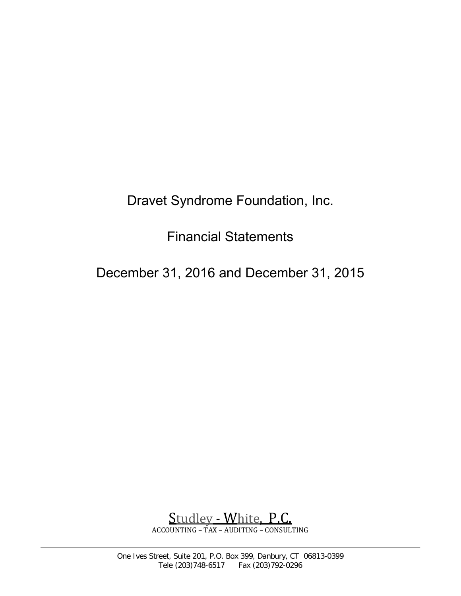Dravet Syndrome Foundation, Inc.

Financial Statements

December 31, 2016 and December 31, 2015

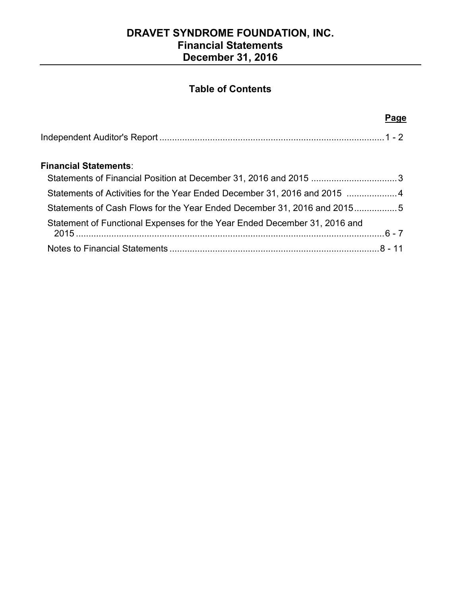# **DRAVET SYNDROME FOUNDATION, INC. Financial Statements December 31, 2016**

# **Table of Contents**

#### **Page Page**

### **Financial Statements**:

| Statements of Financial Position at December 31, 2016 and 2015 3          |  |
|---------------------------------------------------------------------------|--|
| Statements of Activities for the Year Ended December 31, 2016 and 2015  4 |  |
| Statements of Cash Flows for the Year Ended December 31, 2016 and 20155   |  |
| Statement of Functional Expenses for the Year Ended December 31, 2016 and |  |
|                                                                           |  |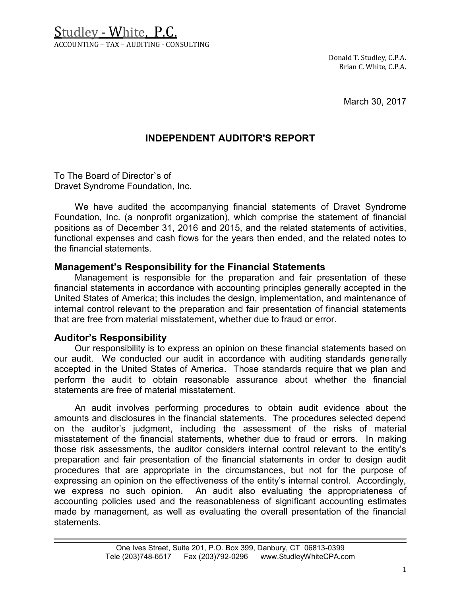Studley - White, P.C. ACCOUNTING – TAX – AUDITING - CONSULTING

> Donald T. Studley, C.P.A. Brian C. White, C.P.A.

> > March 30, 2017

### **INDEPENDENT AUDITOR'S REPORT**

To The Board of Director`s of Dravet Syndrome Foundation, Inc.

We have audited the accompanying financial statements of Dravet Syndrome Foundation, Inc. (a nonprofit organization), which comprise the statement of financial positions as of December 31, 2016 and 2015, and the related statements of activities, functional expenses and cash flows for the years then ended, and the related notes to the financial statements.

### **Management's Responsibility for the Financial Statements**

Management is responsible for the preparation and fair presentation of these financial statements in accordance with accounting principles generally accepted in the United States of America; this includes the design, implementation, and maintenance of internal control relevant to the preparation and fair presentation of financial statements that are free from material misstatement, whether due to fraud or error.

#### **Auditor's Responsibility**

Our responsibility is to express an opinion on these financial statements based on our audit. We conducted our audit in accordance with auditing standards generally accepted in the United States of America. Those standards require that we plan and perform the audit to obtain reasonable assurance about whether the financial statements are free of material misstatement.

An audit involves performing procedures to obtain audit evidence about the amounts and disclosures in the financial statements. The procedures selected depend on the auditor's judgment, including the assessment of the risks of material misstatement of the financial statements, whether due to fraud or errors. In making those risk assessments, the auditor considers internal control relevant to the entity's preparation and fair presentation of the financial statements in order to design audit procedures that are appropriate in the circumstances, but not for the purpose of expressing an opinion on the effectiveness of the entity's internal control. Accordingly, we express no such opinion. An audit also evaluating the appropriateness of accounting policies used and the reasonableness of significant accounting estimates made by management, as well as evaluating the overall presentation of the financial statements.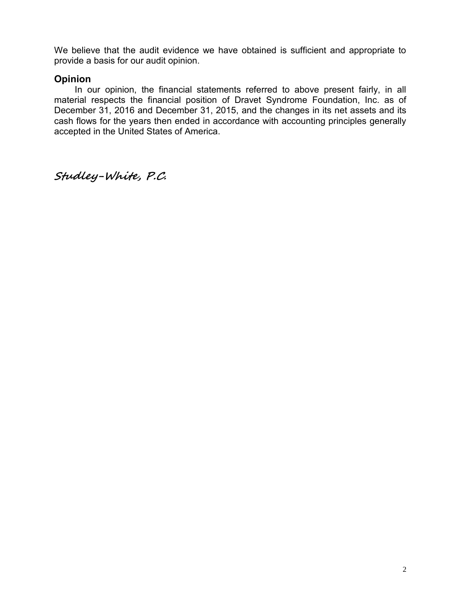We believe that the audit evidence we have obtained is sufficient and appropriate to provide a basis for our audit opinion.

### **Opinion**

In our opinion, the financial statements referred to above present fairly, in all material respects the financial position of Dravet Syndrome Foundation, Inc. as of December 31, 2016 and December 31, 2015, and the changes in its net assets and its cash flows for the years then ended in accordance with accounting principles generally accepted in the United States of America.

**Studley-White, P.C.**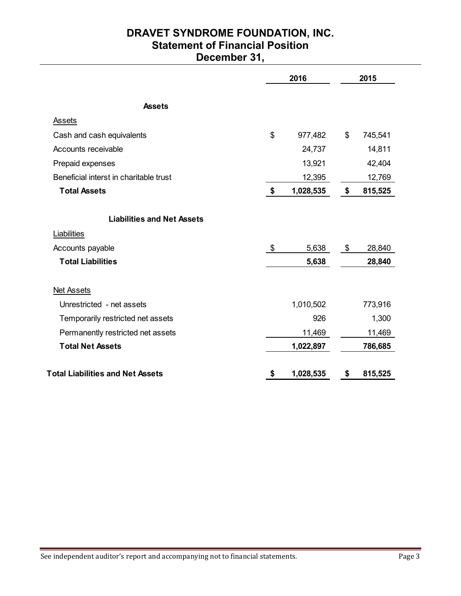# **DRAVET SYNDROME FOUNDATION, INC. Statement of Financial Position December 31,**

|                                         | 2016            | 2015          |
|-----------------------------------------|-----------------|---------------|
| <b>Assets</b>                           |                 |               |
| Assets                                  |                 |               |
| Cash and cash equivalents               | \$<br>977,482   | \$<br>745,541 |
| Accounts receivable                     | 24,737          | 14,811        |
| Prepaid expenses                        | 13,921          | 42,404        |
| Beneficial interst in charitable trust  | 12,395          | 12,769        |
| <b>Total Assets</b>                     | \$<br>1,028,535 | \$<br>815,525 |
| <b>Liabilities and Net Assets</b>       |                 |               |
| Liabilities                             |                 |               |
| Accounts payable                        | \$<br>5,638     | \$<br>28,840  |
| <b>Total Liabilities</b>                | 5,638           | 28,840        |
| <b>Net Assets</b>                       |                 |               |
| Unrestricted - net assets               | 1,010,502       | 773,916       |
| Temporarily restricted net assets       | 926             | 1,300         |
| Permanently restricted net assets       | 11,469          | 11,469        |
| <b>Total Net Assets</b>                 | 1,022,897       | 786,685       |
| <b>Total Liabilities and Net Assets</b> | \$<br>1,028,535 | \$<br>815,525 |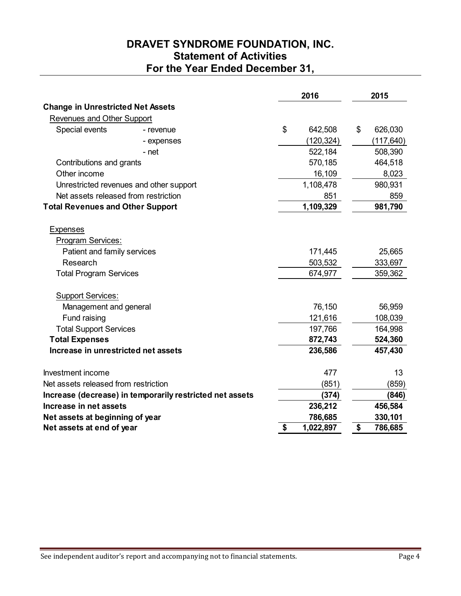# **DRAVET SYNDROME FOUNDATION, INC. Statement of Activities For the Year Ended December 31,**

|                                                          |    | 2016       | 2015          |
|----------------------------------------------------------|----|------------|---------------|
| <b>Change in Unrestricted Net Assets</b>                 |    |            |               |
| Revenues and Other Support                               |    |            |               |
| Special events<br>- revenue                              | \$ | 642,508    | \$<br>626,030 |
| - expenses                                               |    | (120, 324) | (117, 640)    |
| - net                                                    |    | 522,184    | 508,390       |
| Contributions and grants                                 |    | 570,185    | 464,518       |
| Other income                                             |    | 16,109     | 8,023         |
| Unrestricted revenues and other support                  |    | 1,108,478  | 980,931       |
| Net assets released from restriction                     |    | 851        | 859           |
| <b>Total Revenues and Other Support</b>                  |    | 1,109,329  | 981,790       |
| <b>Expenses</b>                                          |    |            |               |
| Program Services:                                        |    |            |               |
| Patient and family services                              |    | 171,445    | 25,665        |
| Research                                                 |    | 503,532    | 333,697       |
| <b>Total Program Services</b>                            |    | 674,977    | 359,362       |
| <b>Support Services:</b>                                 |    |            |               |
| Management and general                                   |    | 76,150     | 56,959        |
| Fund raising                                             |    | 121,616    | 108,039       |
| <b>Total Support Services</b>                            |    | 197,766    | 164,998       |
| <b>Total Expenses</b>                                    |    | 872,743    | 524,360       |
| Increase in unrestricted net assets                      |    | 236,586    | 457,430       |
| Investment income                                        |    | 477        | 13            |
| Net assets released from restriction                     |    | (851)      | (859)         |
| Increase (decrease) in temporarily restricted net assets |    | (374)      | (846)         |
| Increase in net assets                                   |    | 236,212    | 456,584       |
| Net assets at beginning of year                          |    | 786,685    | 330,101       |
| Net assets at end of year                                | \$ | 1,022,897  | \$<br>786,685 |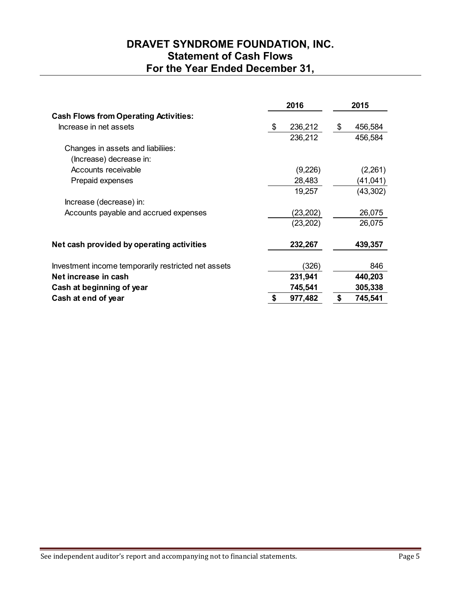# **DRAVET SYNDROME FOUNDATION, INC. Statement of Cash Flows For the Year Ended December 31,**

|                                                     | 2016          | 2015          |
|-----------------------------------------------------|---------------|---------------|
| <b>Cash Flows from Operating Activities:</b>        |               |               |
| Increase in net assets                              | 236,212<br>\$ | 456,584<br>\$ |
|                                                     | 236,212       | 456,584       |
| Changes in assets and liabiliies:                   |               |               |
| (Increase) decrease in:                             |               |               |
| Accounts receivable                                 | (9,226)       | (2,261)       |
| Prepaid expenses                                    | 28,483        | (41, 041)     |
|                                                     | 19,257        | (43, 302)     |
| Increase (decrease) in:                             |               |               |
| Accounts payable and accrued expenses               | (23, 202)     | 26,075        |
|                                                     | (23, 202)     | 26,075        |
| Net cash provided by operating activities           | 232,267       | 439,357       |
| Investment income temporarily restricted net assets | (326)         | 846           |
| Net increase in cash                                | 231,941       | 440,203       |
| Cash at beginning of year                           | 745,541       | 305,338       |
| Cash at end of year                                 | 977,482       | \$<br>745,541 |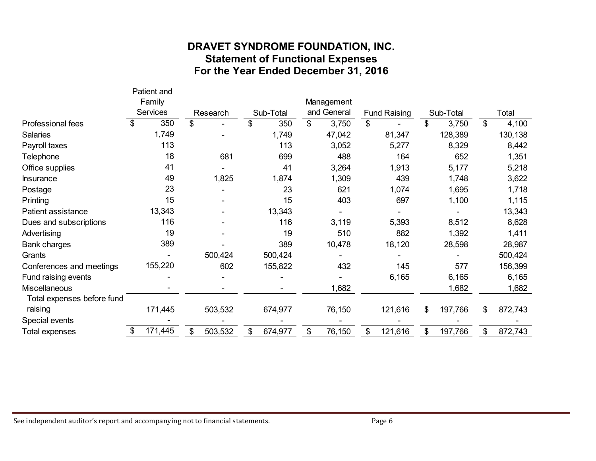# **DRAVET SYNDROME FOUNDATION, INC. Statement of Functional Expenses For the Year Ended December 31, 2016**

|                            |                                          |                                      | <b>Statement of Functional Expenses</b> |                |                      |                |                     |                          |                      |
|----------------------------|------------------------------------------|--------------------------------------|-----------------------------------------|----------------|----------------------|----------------|---------------------|--------------------------|----------------------|
|                            | Patient and<br>Family<br><b>Services</b> | For the Year Ended December 31, 2016 |                                         |                | Management           |                |                     |                          |                      |
| <b>Professional fees</b>   | \$<br>350                                | \$<br>Research                       | \$<br>Sub-Total<br>350                  | $\mathfrak{S}$ | and General<br>3,750 | $\mathfrak{S}$ | <b>Fund Raising</b> | \$<br>Sub-Total<br>3,750 | \$<br>Total<br>4,100 |
| <b>Salaries</b>            | 1,749                                    |                                      | 1,749                                   |                | 47,042               |                | 81,347              | 128,389                  | 130,138              |
| Payroll taxes              | 113                                      |                                      | 113                                     |                | 3,052                |                | 5,277               | 8,329                    | 8,442                |
| Telephone                  | 18                                       | 681                                  | 699                                     |                | 488                  |                | 164                 | 652                      | 1,351                |
| Office supplies            | 41                                       |                                      | 41                                      |                | 3,264                |                | 1,913               | 5,177                    | 5,218                |
| <b>Insurance</b>           | 49                                       | 1,825                                | 1,874                                   |                | 1,309                |                | 439                 | 1,748                    | 3,622                |
| Postage                    | 23                                       |                                      | 23                                      |                | 621                  |                | 1,074               | 1,695                    | 1,718                |
| Printing                   | 15                                       |                                      | 15                                      |                | 403                  |                | 697                 | 1,100                    | 1,115                |
| Patient assistance         | 13,343                                   |                                      | 13,343                                  |                |                      |                |                     |                          | 13,343               |
| Dues and subscriptions     | 116                                      |                                      | 116                                     |                | 3,119                |                | 5,393               | 8,512                    | 8,628                |
| Advertising                | 19                                       |                                      | 19                                      |                | 510                  |                | 882                 | 1,392                    | 1,411                |
| <b>Bank charges</b>        | 389                                      |                                      | 389                                     |                | 10,478               |                | 18,120              | 28,598                   | 28,987               |
| Grants                     |                                          | 500,424                              | 500,424                                 |                |                      |                |                     |                          | 500,424              |
| Conferences and meetings   | 155,220                                  | 602                                  | 155,822                                 |                | 432                  |                | 145                 | 577                      | 156,399              |
| Fund raising events        |                                          |                                      |                                         |                |                      |                | 6,165               | 6,165                    | 6,165                |
| <b>Miscellaneous</b>       |                                          |                                      |                                         |                | 1,682                |                |                     | 1,682                    | 1,682                |
| Total expenses before fund |                                          |                                      |                                         |                |                      |                |                     |                          |                      |
| raising                    | 171,445                                  | 503,532                              | 674,977                                 |                | 76,150               |                | 121,616             | \$<br>197,766            | \$<br>872,743        |
| Special events             |                                          |                                      |                                         |                |                      |                |                     |                          |                      |
| <b>Total expenses</b>      | \$<br>171,445                            | \$<br>503,532                        | 674,977                                 |                | 76,150               | \$             | 121,616             | \$<br>197,766            | \$<br>872,743        |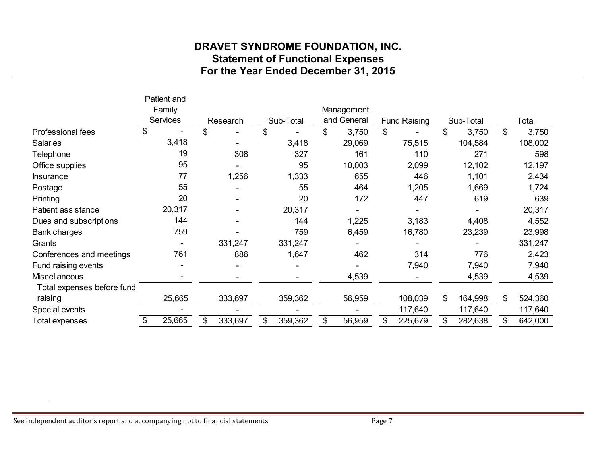# **DRAVET SYNDROME FOUNDATION, INC. Statement of Functional Expenses**

|                            |                                          |        |          | For the Year Ended December 31, 2015 |                           |                           |                     |               |                |         |
|----------------------------|------------------------------------------|--------|----------|--------------------------------------|---------------------------|---------------------------|---------------------|---------------|----------------|---------|
|                            | Patient and<br>Family<br><b>Services</b> |        | Research | Sub-Total                            | Management<br>and General |                           | <b>Fund Raising</b> | Sub-Total     |                | Total   |
| Professional fees          | \$                                       |        |          |                                      | \$<br>3,750               | $\boldsymbol{\mathsf{S}}$ |                     | \$<br>3,750   | $\mathfrak{F}$ | 3,750   |
| <b>Salaries</b>            |                                          | 3,418  |          | 3,418                                | 29,069                    |                           | 75,515              | 104,584       |                | 108,002 |
| Telephone                  |                                          | 19     | 308      | 327                                  | 161                       |                           | 110                 | 271           |                | 598     |
| Office supplies            |                                          | 95     |          | 95                                   | 10,003                    |                           | 2,099               | 12,102        |                | 12,197  |
| <b>Insurance</b>           |                                          | 77     | 1,256    | 1,333                                | 655                       |                           | 446                 | 1,101         |                | 2,434   |
| Postage                    |                                          | 55     |          | 55                                   | 464                       |                           | 1,205               | 1,669         |                | 1,724   |
| Printing                   |                                          | 20     |          | 20                                   | 172                       |                           | 447                 | 619           |                | 639     |
| <b>Patient assistance</b>  |                                          | 20,317 |          | 20,317                               |                           |                           |                     |               |                | 20,317  |
| Dues and subscriptions     |                                          | 144    |          | 144                                  | 1,225                     |                           | 3,183               | 4,408         |                | 4,552   |
| Bank charges               |                                          | 759    |          | 759                                  | 6,459                     |                           | 16,780              | 23,239        |                | 23,998  |
| Grants                     |                                          |        | 331,247  | 331,247                              |                           |                           |                     |               |                | 331,247 |
| Conferences and meetings   |                                          | 761    | 886      | 1,647                                | 462                       |                           | 314                 | 776           |                | 2,423   |
| Fund raising events        |                                          |        |          |                                      |                           |                           | 7,940               | 7,940         |                | 7,940   |
| <b>Miscellaneous</b>       |                                          |        |          |                                      | 4,539                     |                           |                     | 4,539         |                | 4,539   |
| Total expenses before fund |                                          |        |          |                                      |                           |                           |                     |               |                |         |
| raising                    |                                          | 25,665 | 333,697  | 359,362                              | 56,959                    |                           | 108,039             | \$<br>164,998 | \$             | 524,360 |
| Special events             |                                          |        |          |                                      |                           |                           | 117,640             | 117,640       |                | 117,640 |
| <b>Total expenses</b>      | \$                                       | 25,665 | 333,697  | 359,362                              | 56,959                    |                           | 225,679             | 282,638       |                | 642,000 |
|                            |                                          |        |          |                                      |                           |                           |                     |               |                |         |

.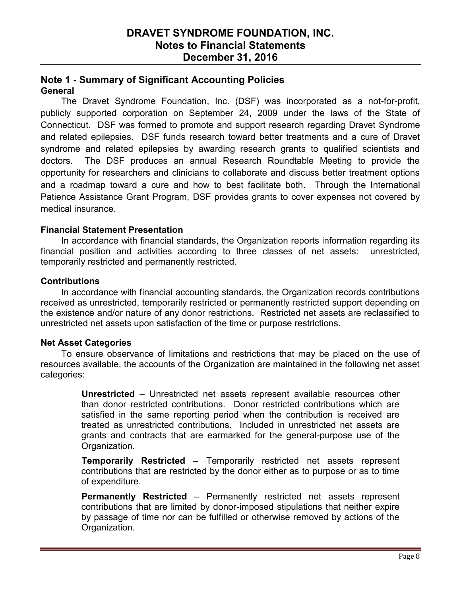### **DRAVET SYNDROME FOUNDATION, INC. Notes to Financial Statements December 31, 2016**

### **Note 1 - Summary of Significant Accounting Policies General**

The Dravet Syndrome Foundation, Inc. (DSF) was incorporated as a not-for-profit, publicly supported corporation on September 24, 2009 under the laws of the State of Connecticut. DSF was formed to promote and support research regarding Dravet Syndrome and related epilepsies. DSF funds research toward better treatments and a cure of Dravet syndrome and related epilepsies by awarding research grants to qualified scientists and doctors. The DSF produces an annual Research Roundtable Meeting to provide the opportunity for researchers and clinicians to collaborate and discuss better treatment options and a roadmap toward a cure and how to best facilitate both. Through the International Patience Assistance Grant Program, DSF provides grants to cover expenses not covered by medical insurance.

### **Financial Statement Presentation**

In accordance with financial standards, the Organization reports information regarding its financial position and activities according to three classes of net assets: unrestricted, temporarily restricted and permanently restricted.

### **Contributions**

In accordance with financial accounting standards, the Organization records contributions received as unrestricted, temporarily restricted or permanently restricted support depending on the existence and/or nature of any donor restrictions. Restricted net assets are reclassified to unrestricted net assets upon satisfaction of the time or purpose restrictions.

#### **Net Asset Categories**

To ensure observance of limitations and restrictions that may be placed on the use of resources available, the accounts of the Organization are maintained in the following net asset categories:

> **Unrestricted** – Unrestricted net assets represent available resources other than donor restricted contributions. Donor restricted contributions which are satisfied in the same reporting period when the contribution is received are treated as unrestricted contributions. Included in unrestricted net assets are grants and contracts that are earmarked for the general-purpose use of the Organization.

> **Temporarily Restricted** – Temporarily restricted net assets represent contributions that are restricted by the donor either as to purpose or as to time of expenditure.

> **Permanently Restricted** – Permanently restricted net assets represent contributions that are limited by donor-imposed stipulations that neither expire by passage of time nor can be fulfilled or otherwise removed by actions of the Organization.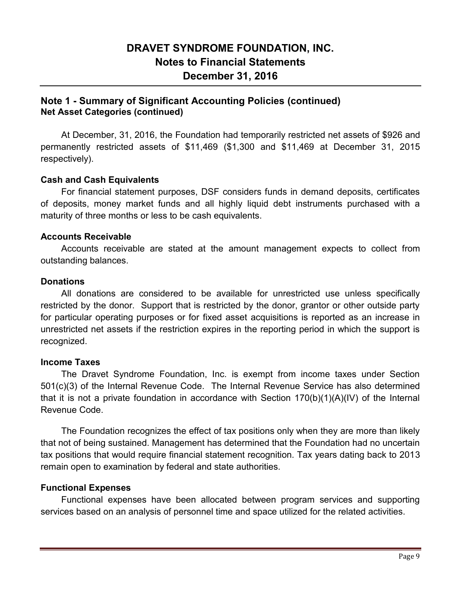# **DRAVET SYNDROME FOUNDATION, INC. Notes to Financial Statements December 31, 2016**

### **Note 1 - Summary of Significant Accounting Policies (continued) Net Asset Categories (continued)**

At December, 31, 2016, the Foundation had temporarily restricted net assets of \$926 and permanently restricted assets of \$11,469 (\$1,300 and \$11,469 at December 31, 2015 respectively).

#### **Cash and Cash Equivalents**

For financial statement purposes, DSF considers funds in demand deposits, certificates of deposits, money market funds and all highly liquid debt instruments purchased with a maturity of three months or less to be cash equivalents.

#### **Accounts Receivable**

Accounts receivable are stated at the amount management expects to collect from outstanding balances.

#### **Donations**

All donations are considered to be available for unrestricted use unless specifically restricted by the donor. Support that is restricted by the donor, grantor or other outside party for particular operating purposes or for fixed asset acquisitions is reported as an increase in unrestricted net assets if the restriction expires in the reporting period in which the support is recognized.

#### **Income Taxes**

The Dravet Syndrome Foundation, Inc. is exempt from income taxes under Section 501(c)(3) of the Internal Revenue Code. The Internal Revenue Service has also determined that it is not a private foundation in accordance with Section 170(b)(1)(A)(IV) of the Internal Revenue Code.

The Foundation recognizes the effect of tax positions only when they are more than likely that not of being sustained. Management has determined that the Foundation had no uncertain tax positions that would require financial statement recognition. Tax years dating back to 2013 remain open to examination by federal and state authorities.

#### **Functional Expenses**

Functional expenses have been allocated between program services and supporting services based on an analysis of personnel time and space utilized for the related activities.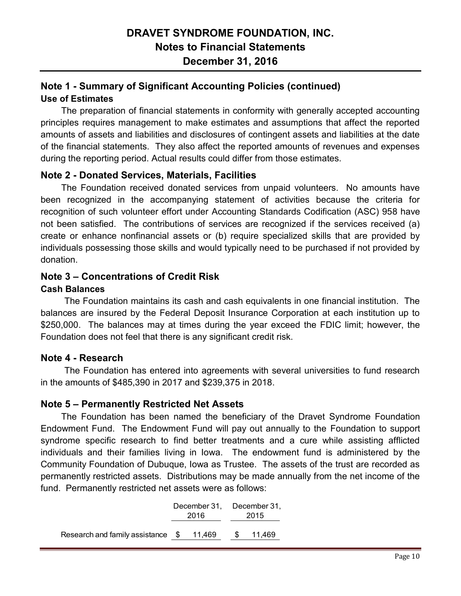# **Note 1 - Summary of Significant Accounting Policies (continued) Use of Estimates**

The preparation of financial statements in conformity with generally accepted accounting principles requires management to make estimates and assumptions that affect the reported amounts of assets and liabilities and disclosures of contingent assets and liabilities at the date of the financial statements. They also affect the reported amounts of revenues and expenses during the reporting period. Actual results could differ from those estimates.

### **Note 2 - Donated Services, Materials, Facilities**

The Foundation received donated services from unpaid volunteers. No amounts have been recognized in the accompanying statement of activities because the criteria for recognition of such volunteer effort under Accounting Standards Codification (ASC) 958 have not been satisfied. The contributions of services are recognized if the services received (a) create or enhance nonfinancial assets or (b) require specialized skills that are provided by individuals possessing those skills and would typically need to be purchased if not provided by donation.

### **Note 3 – Concentrations of Credit Risk**

### **Cash Balances**

The Foundation maintains its cash and cash equivalents in one financial institution. The balances are insured by the Federal Deposit Insurance Corporation at each institution up to \$250,000. The balances may at times during the year exceed the FDIC limit; however, the Foundation does not feel that there is any significant credit risk.

### **Note 4 - Research**

The Foundation has entered into agreements with several universities to fund research in the amounts of \$485,390 in 2017 and \$239,375 in 2018.

#### **Note 5 – Permanently Restricted Net Assets**

The Foundation has been named the beneficiary of the Dravet Syndrome Foundation Endowment Fund. The Endowment Fund will pay out annually to the Foundation to support syndrome specific research to find better treatments and a cure while assisting afflicted individuals and their families living in Iowa. The endowment fund is administered by the Community Foundation of Dubuque, Iowa as Trustee. The assets of the trust are recorded as permanently restricted assets. Distributions may be made annually from the net income of the fund. Permanently restricted net assets were as follows:

|                                   | 2016   |    | December 31, December 31,<br>2015 |  |  |  |
|-----------------------------------|--------|----|-----------------------------------|--|--|--|
| Research and family assistance \$ | 11,469 | S. | 11,469                            |  |  |  |